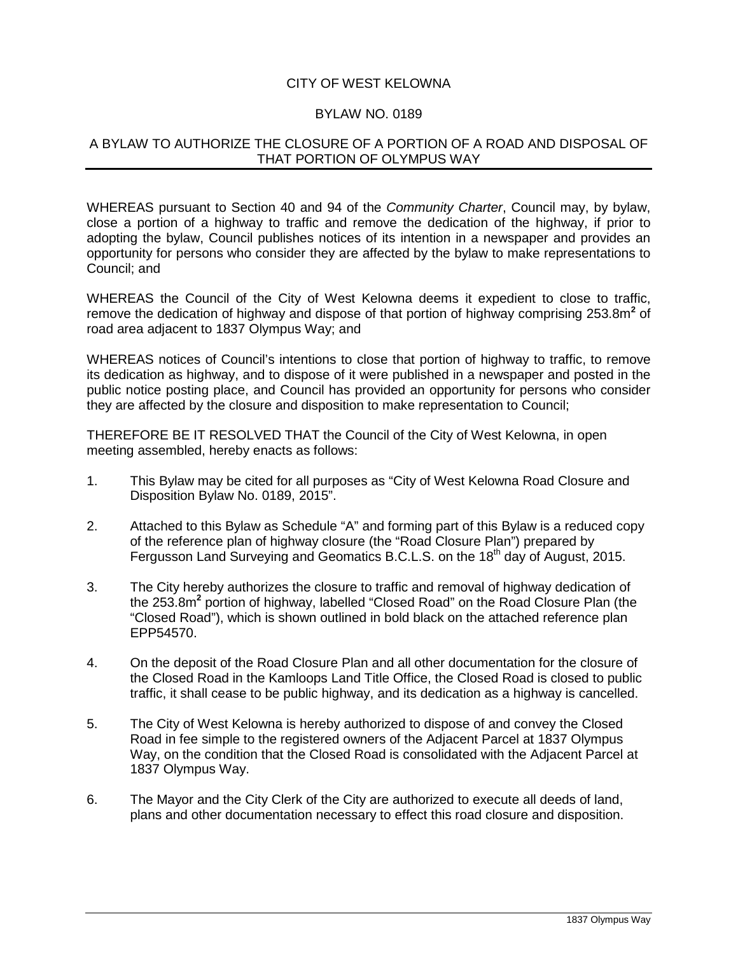## CITY OF WEST KELOWNA

## BYLAW NO. 0189

## A BYLAW TO AUTHORIZE THE CLOSURE OF A PORTION OF A ROAD AND DISPOSAL OF THAT PORTION OF OLYMPUS WAY

WHEREAS pursuant to Section 40 and 94 of the *Community Charter*, Council may, by bylaw, close a portion of a highway to traffic and remove the dedication of the highway, if prior to adopting the bylaw, Council publishes notices of its intention in a newspaper and provides an opportunity for persons who consider they are affected by the bylaw to make representations to Council; and

WHEREAS the Council of the City of West Kelowna deems it expedient to close to traffic, remove the dedication of highway and dispose of that portion of highway comprising 253.8m**<sup>2</sup>** of road area adjacent to 1837 Olympus Way; and

WHEREAS notices of Council's intentions to close that portion of highway to traffic, to remove its dedication as highway, and to dispose of it were published in a newspaper and posted in the public notice posting place, and Council has provided an opportunity for persons who consider they are affected by the closure and disposition to make representation to Council;

THEREFORE BE IT RESOLVED THAT the Council of the City of West Kelowna, in open meeting assembled, hereby enacts as follows:

- 1. This Bylaw may be cited for all purposes as "City of West Kelowna Road Closure and Disposition Bylaw No. 0189, 2015".
- 2. Attached to this Bylaw as Schedule "A" and forming part of this Bylaw is a reduced copy of the reference plan of highway closure (the "Road Closure Plan") prepared by Fergusson Land Surveying and Geomatics B.C.L.S. on the 18<sup>th</sup> day of August, 2015.
- 3. The City hereby authorizes the closure to traffic and removal of highway dedication of the 253.8m**<sup>2</sup>** portion of highway, labelled "Closed Road" on the Road Closure Plan (the "Closed Road"), which is shown outlined in bold black on the attached reference plan EPP54570.
- 4. On the deposit of the Road Closure Plan and all other documentation for the closure of the Closed Road in the Kamloops Land Title Office, the Closed Road is closed to public traffic, it shall cease to be public highway, and its dedication as a highway is cancelled.
- 5. The City of West Kelowna is hereby authorized to dispose of and convey the Closed Road in fee simple to the registered owners of the Adjacent Parcel at 1837 Olympus Way, on the condition that the Closed Road is consolidated with the Adjacent Parcel at 1837 Olympus Way.
- 6. The Mayor and the City Clerk of the City are authorized to execute all deeds of land, plans and other documentation necessary to effect this road closure and disposition.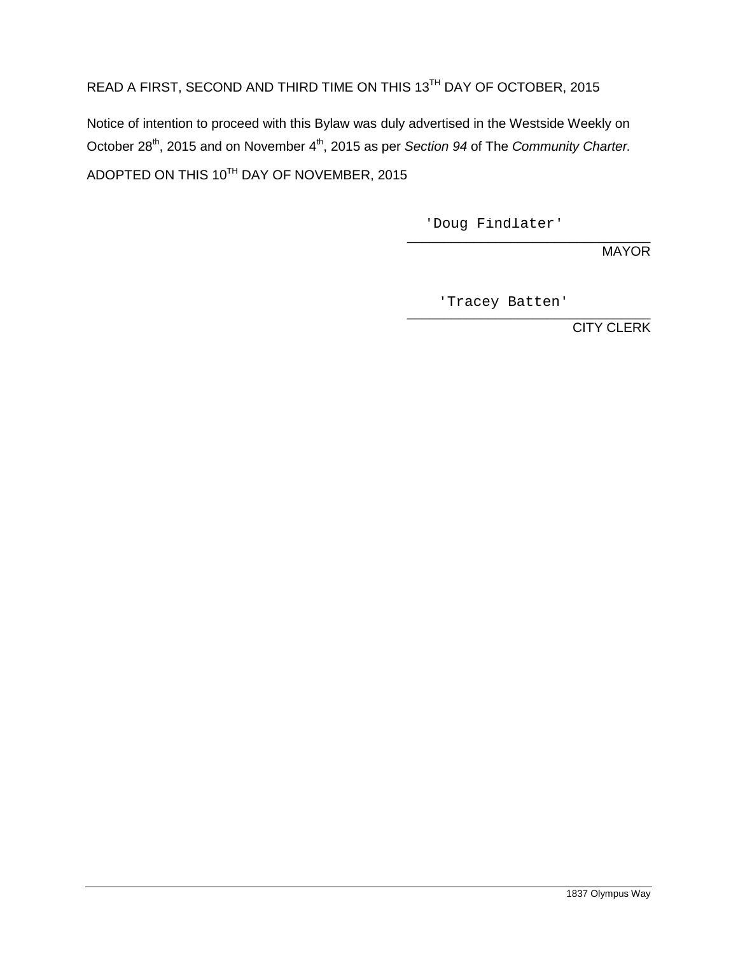## READ A FIRST, SECOND AND THIRD TIME ON THIS 13TH DAY OF OCTOBER, 2015

Notice of intention to proceed with this Bylaw was duly advertised in the Westside Weekly on October 28<sup>th</sup>, 2015 and on November 4<sup>th</sup>, 2015 as per *Section 94* of The *Community Charter.* ADOPTED ON THIS 10TH DAY OF NOVEMBER, 2015

'Doug Findlater'

\_\_\_\_\_\_\_\_\_\_\_\_\_\_\_\_\_\_\_\_\_\_\_\_\_\_\_\_\_\_\_\_\_ MAYOR

\_\_\_\_\_\_\_\_\_\_\_\_\_\_\_\_\_\_\_\_\_\_\_\_\_\_\_\_\_\_\_\_\_ 'Tracey Batten'

CITY CLERK